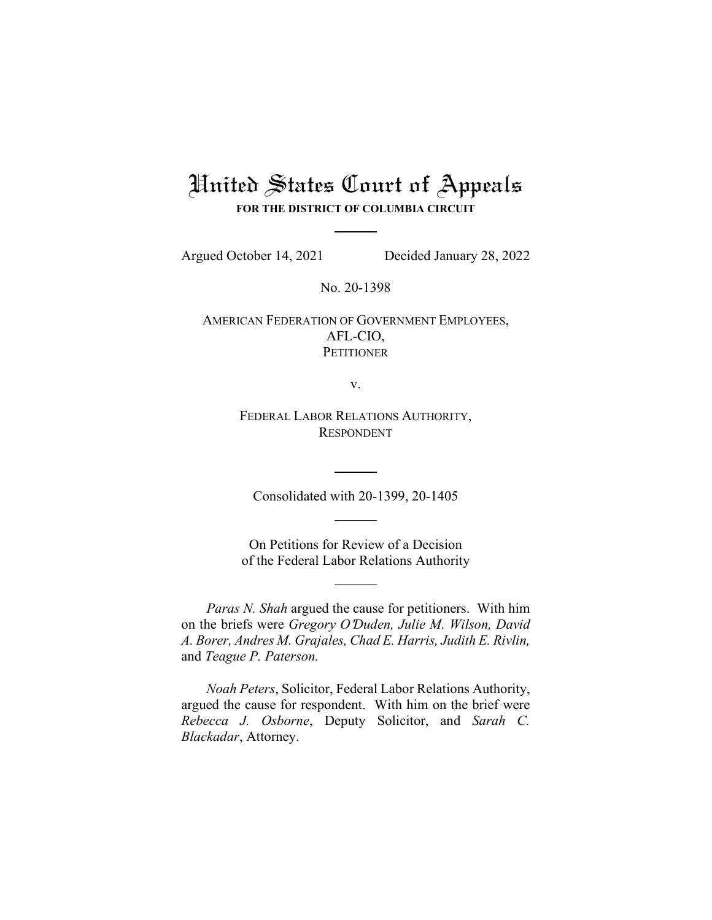# United States Court of Appeals **FOR THE DISTRICT OF COLUMBIA CIRCUIT**

Argued October 14, 2021 Decided January 28, 2022

No. 20-1398

AMERICAN FEDERATION OF GOVERNMENT EMPLOYEES, AFL-CIO, **PETITIONER** 

v.

FEDERAL LABOR RELATIONS AUTHORITY, RESPONDENT

Consolidated with 20-1399, 20-1405

On Petitions for Review of a Decision of the Federal Labor Relations Authority

*Paras N. Shah* argued the cause for petitioners. With him on the briefs were *Gregory O*=*Duden, Julie M. Wilson, David A. Borer, Andres M. Grajales, Chad E. Harris, Judith E. Rivlin,*  and *Teague P. Paterson.*

*Noah Peters*, Solicitor, Federal Labor Relations Authority, argued the cause for respondent. With him on the brief were *Rebecca J. Osborne*, Deputy Solicitor, and *Sarah C. Blackadar*, Attorney.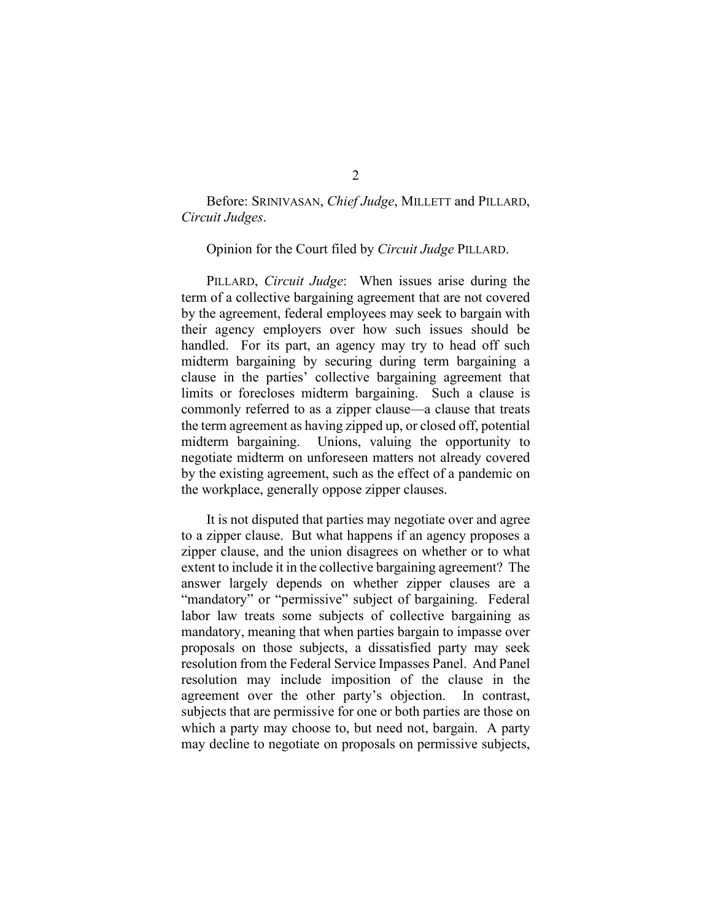## Before: SRINIVASAN, *Chief Judge*, MILLETT and PILLARD, *Circuit Judges*.

#### Opinion for the Court filed by *Circuit Judge* PILLARD.

PILLARD, *Circuit Judge*: When issues arise during the term of a collective bargaining agreement that are not covered by the agreement, federal employees may seek to bargain with their agency employers over how such issues should be handled. For its part, an agency may try to head off such midterm bargaining by securing during term bargaining a clause in the parties' collective bargaining agreement that limits or forecloses midterm bargaining. Such a clause is commonly referred to as a zipper clause—a clause that treats the term agreement as having zipped up, or closed off, potential midterm bargaining. Unions, valuing the opportunity to negotiate midterm on unforeseen matters not already covered by the existing agreement, such as the effect of a pandemic on the workplace, generally oppose zipper clauses.

It is not disputed that parties may negotiate over and agree to a zipper clause. But what happens if an agency proposes a zipper clause, and the union disagrees on whether or to what extent to include it in the collective bargaining agreement? The answer largely depends on whether zipper clauses are a "mandatory" or "permissive" subject of bargaining. Federal labor law treats some subjects of collective bargaining as mandatory, meaning that when parties bargain to impasse over proposals on those subjects, a dissatisfied party may seek resolution from the Federal Service Impasses Panel. And Panel resolution may include imposition of the clause in the agreement over the other party's objection. In contrast, subjects that are permissive for one or both parties are those on which a party may choose to, but need not, bargain. A party may decline to negotiate on proposals on permissive subjects,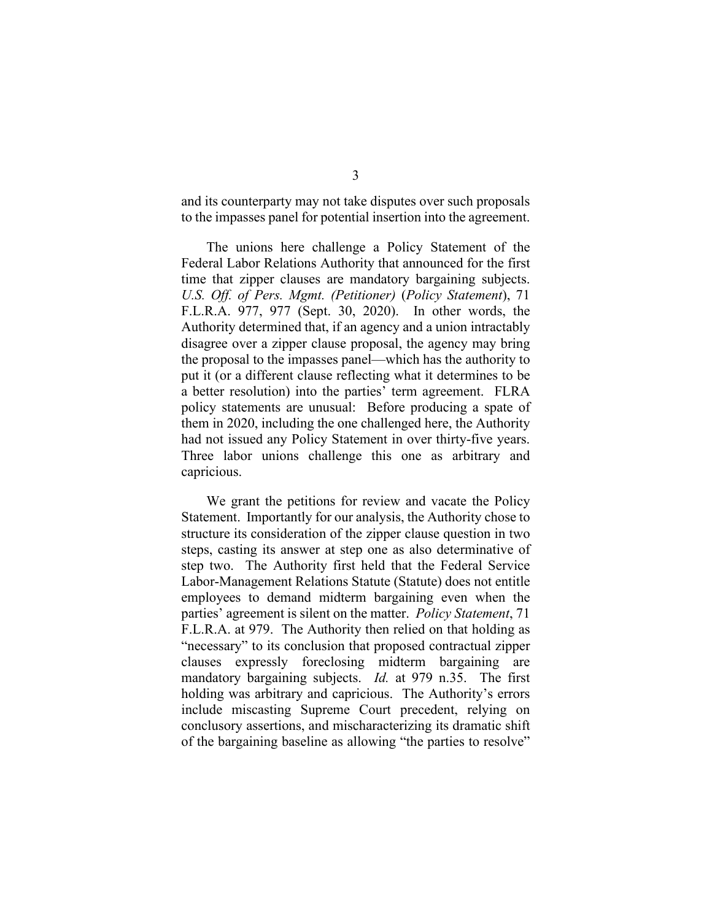and its counterparty may not take disputes over such proposals to the impasses panel for potential insertion into the agreement.

The unions here challenge a Policy Statement of the Federal Labor Relations Authority that announced for the first time that zipper clauses are mandatory bargaining subjects. *U.S. Off. of Pers. Mgmt. (Petitioner)* (*Policy Statement*), 71 F.L.R.A. 977, 977 (Sept. 30, 2020). In other words, the Authority determined that, if an agency and a union intractably disagree over a zipper clause proposal, the agency may bring the proposal to the impasses panel—which has the authority to put it (or a different clause reflecting what it determines to be a better resolution) into the parties' term agreement. FLRA policy statements are unusual: Before producing a spate of them in 2020, including the one challenged here, the Authority had not issued any Policy Statement in over thirty-five years. Three labor unions challenge this one as arbitrary and capricious.

We grant the petitions for review and vacate the Policy Statement. Importantly for our analysis, the Authority chose to structure its consideration of the zipper clause question in two steps, casting its answer at step one as also determinative of step two. The Authority first held that the Federal Service Labor-Management Relations Statute (Statute) does not entitle employees to demand midterm bargaining even when the parties' agreement is silent on the matter. *Policy Statement*, 71 F.L.R.A. at 979. The Authority then relied on that holding as "necessary" to its conclusion that proposed contractual zipper clauses expressly foreclosing midterm bargaining are mandatory bargaining subjects. *Id.* at 979 n.35. The first holding was arbitrary and capricious. The Authority's errors include miscasting Supreme Court precedent, relying on conclusory assertions, and mischaracterizing its dramatic shift of the bargaining baseline as allowing "the parties to resolve"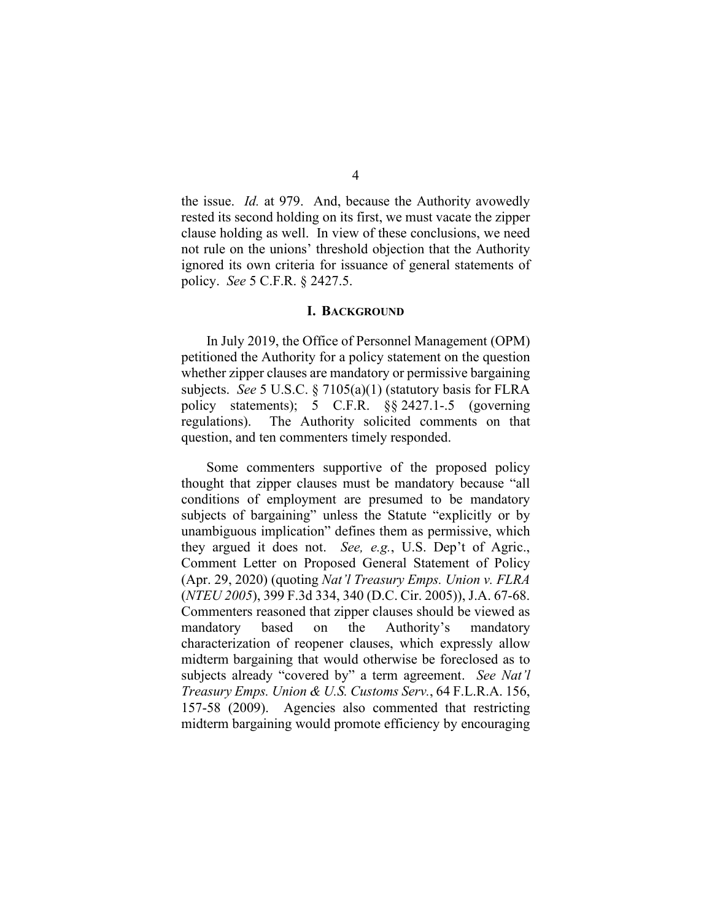the issue. *Id.* at 979. And, because the Authority avowedly rested its second holding on its first, we must vacate the zipper clause holding as well. In view of these conclusions, we need not rule on the unions' threshold objection that the Authority ignored its own criteria for issuance of general statements of policy. *See* 5 C.F.R. § 2427.5.

#### **I. BACKGROUND**

In July 2019, the Office of Personnel Management (OPM) petitioned the Authority for a policy statement on the question whether zipper clauses are mandatory or permissive bargaining subjects. *See* 5 U.S.C. § 7105(a)(1) (statutory basis for FLRA policy statements); 5 C.F.R. §§ 2427.1-.5 (governing regulations). The Authority solicited comments on that question, and ten commenters timely responded.

Some commenters supportive of the proposed policy thought that zipper clauses must be mandatory because "all conditions of employment are presumed to be mandatory subjects of bargaining" unless the Statute "explicitly or by unambiguous implication" defines them as permissive, which they argued it does not. *See, e.g.*, U.S. Dep't of Agric., Comment Letter on Proposed General Statement of Policy (Apr. 29, 2020) (quoting *Nat'l Treasury Emps. Union v. FLRA* (*NTEU 2005*), 399 F.3d 334, 340 (D.C. Cir. 2005)), J.A. 67-68. Commenters reasoned that zipper clauses should be viewed as mandatory based on the Authority's mandatory characterization of reopener clauses, which expressly allow midterm bargaining that would otherwise be foreclosed as to subjects already "covered by" a term agreement. *See Nat'l Treasury Emps. Union & U.S. Customs Serv.*, 64 F.L.R.A. 156, 157-58 (2009). Agencies also commented that restricting midterm bargaining would promote efficiency by encouraging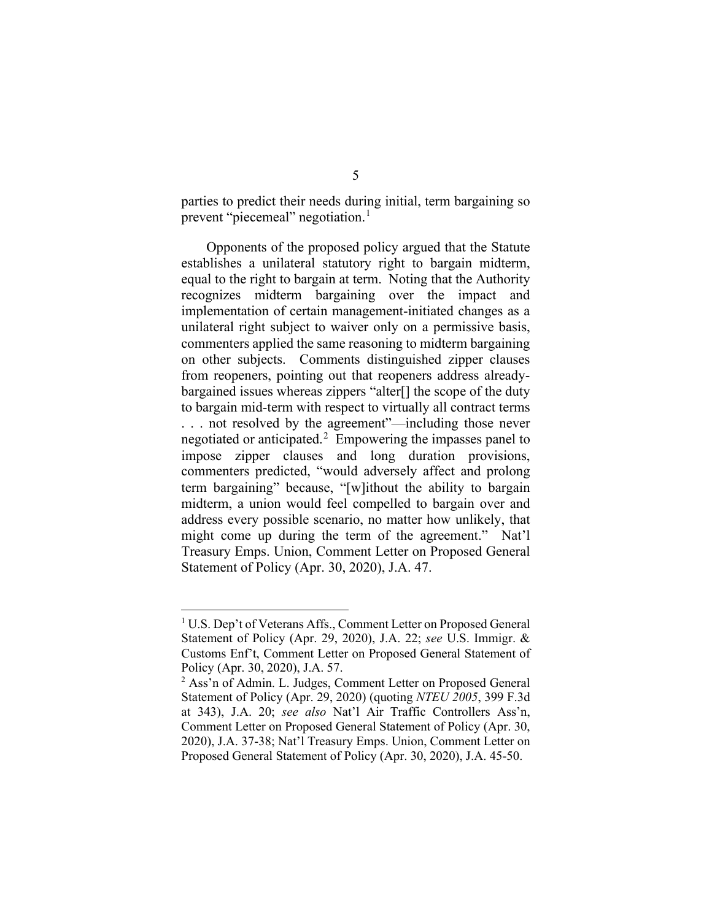parties to predict their needs during initial, term bargaining so prevent "piecemeal" negotiation.<sup>[1](#page-4-0)</sup>

Opponents of the proposed policy argued that the Statute establishes a unilateral statutory right to bargain midterm, equal to the right to bargain at term. Noting that the Authority recognizes midterm bargaining over the impact and implementation of certain management-initiated changes as a unilateral right subject to waiver only on a permissive basis, commenters applied the same reasoning to midterm bargaining on other subjects. Comments distinguished zipper clauses from reopeners, pointing out that reopeners address alreadybargained issues whereas zippers "alter[] the scope of the duty to bargain mid-term with respect to virtually all contract terms . . . not resolved by the agreement"—including those never negotiated or anticipated.<sup>[2](#page-4-1)</sup> Empowering the impasses panel to impose zipper clauses and long duration provisions, commenters predicted, "would adversely affect and prolong term bargaining" because, "[w]ithout the ability to bargain midterm, a union would feel compelled to bargain over and address every possible scenario, no matter how unlikely, that might come up during the term of the agreement." Nat'l Treasury Emps. Union, Comment Letter on Proposed General Statement of Policy (Apr. 30, 2020), J.A. 47.

<span id="page-4-0"></span><sup>1</sup> U.S. Dep't of Veterans Affs., Comment Letter on Proposed General Statement of Policy (Apr. 29, 2020), J.A. 22; *see* U.S. Immigr. & Customs Enf't, Comment Letter on Proposed General Statement of Policy (Apr. 30, 2020), J.A. 57.

<span id="page-4-1"></span><sup>&</sup>lt;sup>2</sup> Ass'n of Admin. L. Judges, Comment Letter on Proposed General Statement of Policy (Apr. 29, 2020) (quoting *NTEU 2005*, 399 F.3d at 343), J.A. 20; *see also* Nat'l Air Traffic Controllers Ass'n, Comment Letter on Proposed General Statement of Policy (Apr. 30, 2020), J.A. 37-38; Nat'l Treasury Emps. Union, Comment Letter on Proposed General Statement of Policy (Apr. 30, 2020), J.A. 45-50.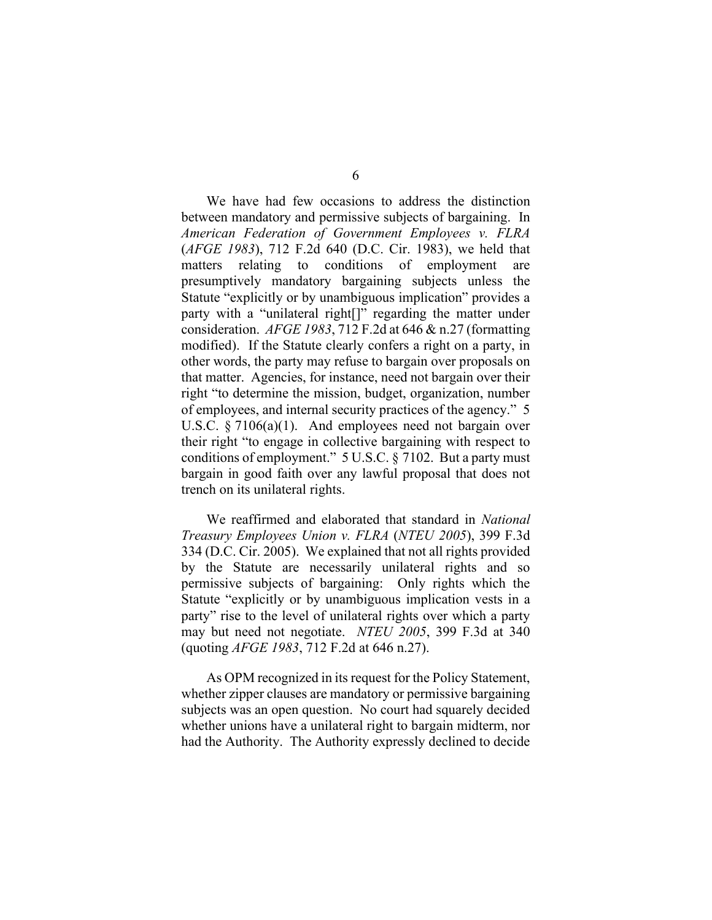We have had few occasions to address the distinction between mandatory and permissive subjects of bargaining. In *American Federation of Government Employees v. FLRA* (*AFGE 1983*), 712 F.2d 640 (D.C. Cir. 1983), we held that matters relating to conditions of employment are presumptively mandatory bargaining subjects unless the Statute "explicitly or by unambiguous implication" provides a party with a "unilateral right[]" regarding the matter under consideration. *AFGE 1983*, 712 F.2d at 646 & n.27 (formatting modified). If the Statute clearly confers a right on a party, in other words, the party may refuse to bargain over proposals on that matter. Agencies, for instance, need not bargain over their right "to determine the mission, budget, organization, number of employees, and internal security practices of the agency." 5 U.S.C. § 7106(a)(1). And employees need not bargain over their right "to engage in collective bargaining with respect to conditions of employment." 5 U.S.C. § 7102. But a party must bargain in good faith over any lawful proposal that does not trench on its unilateral rights.

We reaffirmed and elaborated that standard in *National Treasury Employees Union v. FLRA* (*NTEU 2005*), 399 F.3d 334 (D.C. Cir. 2005). We explained that not all rights provided by the Statute are necessarily unilateral rights and so permissive subjects of bargaining: Only rights which the Statute "explicitly or by unambiguous implication vests in a party" rise to the level of unilateral rights over which a party may but need not negotiate. *NTEU 2005*, 399 F.3d at 340 (quoting *AFGE 1983*, 712 F.2d at 646 n.27).

As OPM recognized in its request for the Policy Statement, whether zipper clauses are mandatory or permissive bargaining subjects was an open question. No court had squarely decided whether unions have a unilateral right to bargain midterm, nor had the Authority. The Authority expressly declined to decide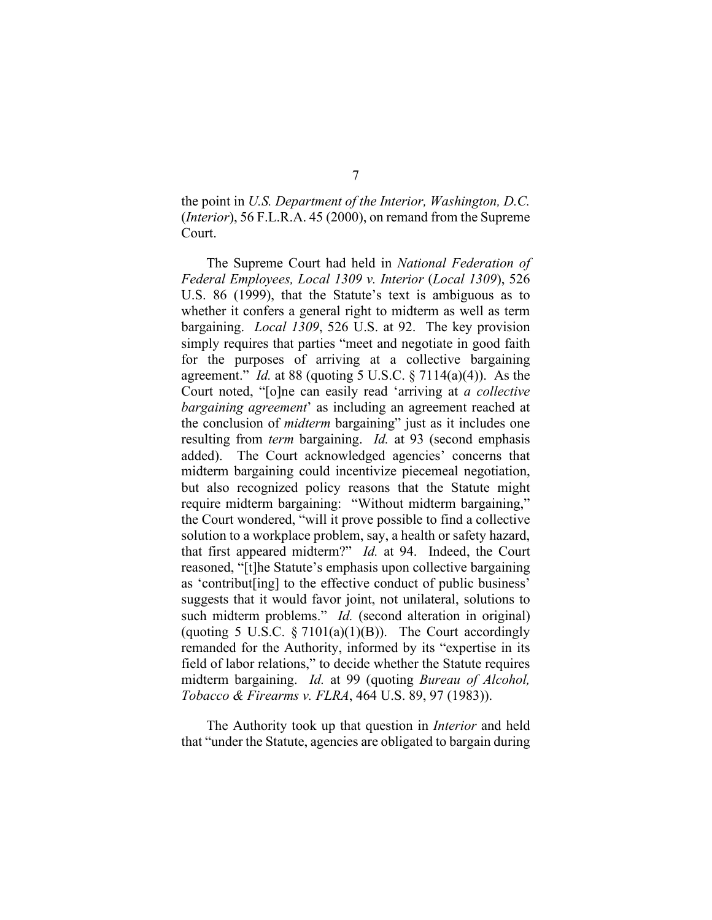the point in *U.S. Department of the Interior, Washington, D.C.* (*Interior*), 56 F.L.R.A. 45 (2000), on remand from the Supreme Court.

The Supreme Court had held in *National Federation of Federal Employees, Local 1309 v. Interior* (*Local 1309*), 526 U.S. 86 (1999), that the Statute's text is ambiguous as to whether it confers a general right to midterm as well as term bargaining. *Local 1309*, 526 U.S. at 92. The key provision simply requires that parties "meet and negotiate in good faith for the purposes of arriving at a collective bargaining agreement." *Id.* at 88 (quoting 5 U.S.C. § 7114(a)(4)). As the Court noted, "[o]ne can easily read 'arriving at *a collective bargaining agreement*' as including an agreement reached at the conclusion of *midterm* bargaining" just as it includes one resulting from *term* bargaining. *Id.* at 93 (second emphasis added). The Court acknowledged agencies' concerns that midterm bargaining could incentivize piecemeal negotiation, but also recognized policy reasons that the Statute might require midterm bargaining: "Without midterm bargaining," the Court wondered, "will it prove possible to find a collective solution to a workplace problem, say, a health or safety hazard, that first appeared midterm?" *Id.* at 94. Indeed, the Court reasoned, "[t]he Statute's emphasis upon collective bargaining as 'contribut[ing] to the effective conduct of public business' suggests that it would favor joint, not unilateral, solutions to such midterm problems." *Id.* (second alteration in original) (quoting 5 U.S.C.  $\S 7101(a)(1)(B)$ ). The Court accordingly remanded for the Authority, informed by its "expertise in its field of labor relations," to decide whether the Statute requires midterm bargaining. *Id.* at 99 (quoting *Bureau of Alcohol, Tobacco & Firearms v. FLRA*, 464 U.S. 89, 97 (1983)).

The Authority took up that question in *Interior* and held that "under the Statute, agencies are obligated to bargain during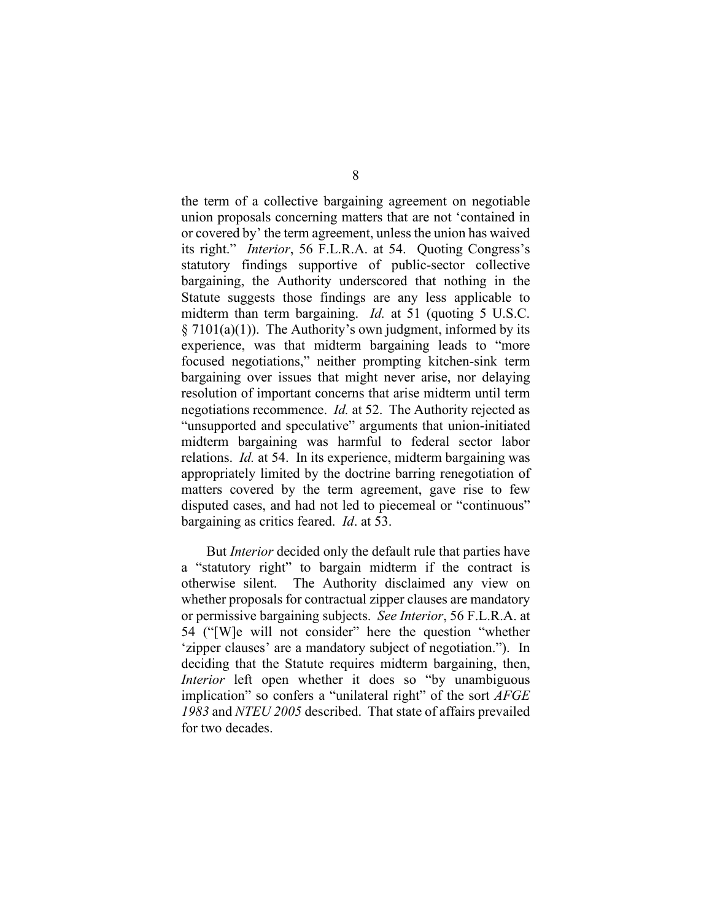the term of a collective bargaining agreement on negotiable union proposals concerning matters that are not 'contained in or covered by' the term agreement, unless the union has waived its right." *Interior*, 56 F.L.R.A. at 54. Quoting Congress's statutory findings supportive of public-sector collective bargaining, the Authority underscored that nothing in the Statute suggests those findings are any less applicable to midterm than term bargaining. *Id.* at 51 (quoting 5 U.S.C.  $\S 7101(a)(1)$ . The Authority's own judgment, informed by its experience, was that midterm bargaining leads to "more focused negotiations," neither prompting kitchen-sink term bargaining over issues that might never arise, nor delaying resolution of important concerns that arise midterm until term negotiations recommence. *Id.* at 52. The Authority rejected as "unsupported and speculative" arguments that union-initiated midterm bargaining was harmful to federal sector labor relations. *Id.* at 54. In its experience, midterm bargaining was appropriately limited by the doctrine barring renegotiation of matters covered by the term agreement, gave rise to few disputed cases, and had not led to piecemeal or "continuous" bargaining as critics feared. *Id*. at 53.

But *Interior* decided only the default rule that parties have a "statutory right" to bargain midterm if the contract is otherwise silent. The Authority disclaimed any view on whether proposals for contractual zipper clauses are mandatory or permissive bargaining subjects. *See Interior*, 56 F.L.R.A. at 54 ("[W]e will not consider" here the question "whether 'zipper clauses' are a mandatory subject of negotiation."). In deciding that the Statute requires midterm bargaining, then, *Interior* left open whether it does so "by unambiguous implication" so confers a "unilateral right" of the sort *AFGE 1983* and *NTEU 2005* described. That state of affairs prevailed for two decades.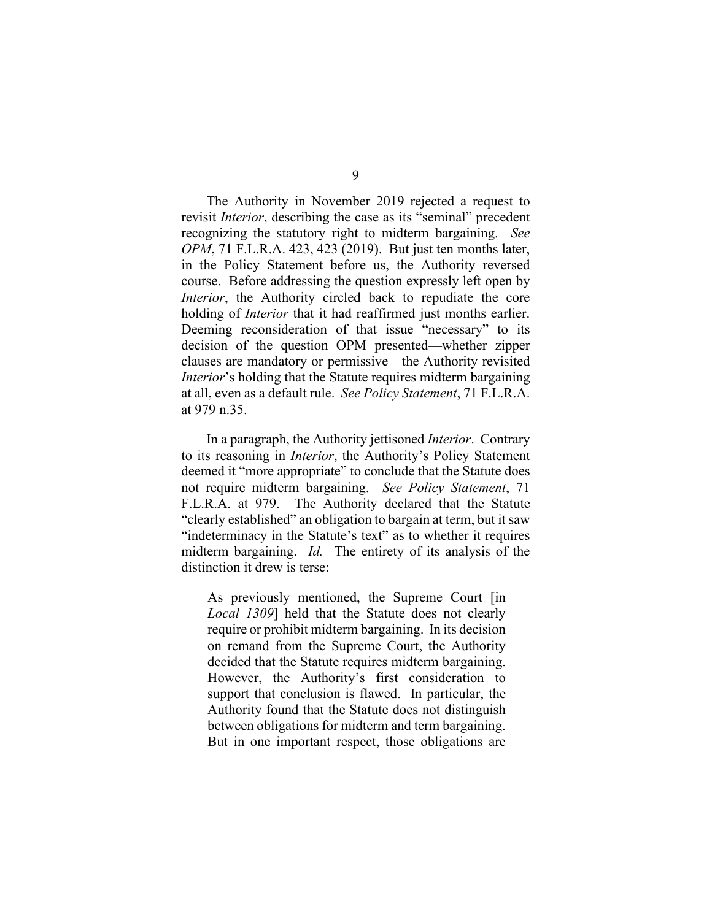The Authority in November 2019 rejected a request to revisit *Interior*, describing the case as its "seminal" precedent recognizing the statutory right to midterm bargaining. *See OPM*, 71 F.L.R.A. 423, 423 (2019). But just ten months later, in the Policy Statement before us, the Authority reversed course. Before addressing the question expressly left open by *Interior*, the Authority circled back to repudiate the core holding of *Interior* that it had reaffirmed just months earlier. Deeming reconsideration of that issue "necessary" to its decision of the question OPM presented—whether zipper clauses are mandatory or permissive—the Authority revisited *Interior*'s holding that the Statute requires midterm bargaining at all, even as a default rule. *See Policy Statement*, 71 F.L.R.A. at 979 n.35.

In a paragraph, the Authority jettisoned *Interior*. Contrary to its reasoning in *Interior*, the Authority's Policy Statement deemed it "more appropriate" to conclude that the Statute does not require midterm bargaining. *See Policy Statement*, 71 F.L.R.A. at 979. The Authority declared that the Statute "clearly established" an obligation to bargain at term, but it saw "indeterminacy in the Statute's text" as to whether it requires midterm bargaining. *Id.* The entirety of its analysis of the distinction it drew is terse:

As previously mentioned, the Supreme Court [in *Local 1309*] held that the Statute does not clearly require or prohibit midterm bargaining. In its decision on remand from the Supreme Court, the Authority decided that the Statute requires midterm bargaining. However, the Authority's first consideration to support that conclusion is flawed. In particular, the Authority found that the Statute does not distinguish between obligations for midterm and term bargaining. But in one important respect, those obligations are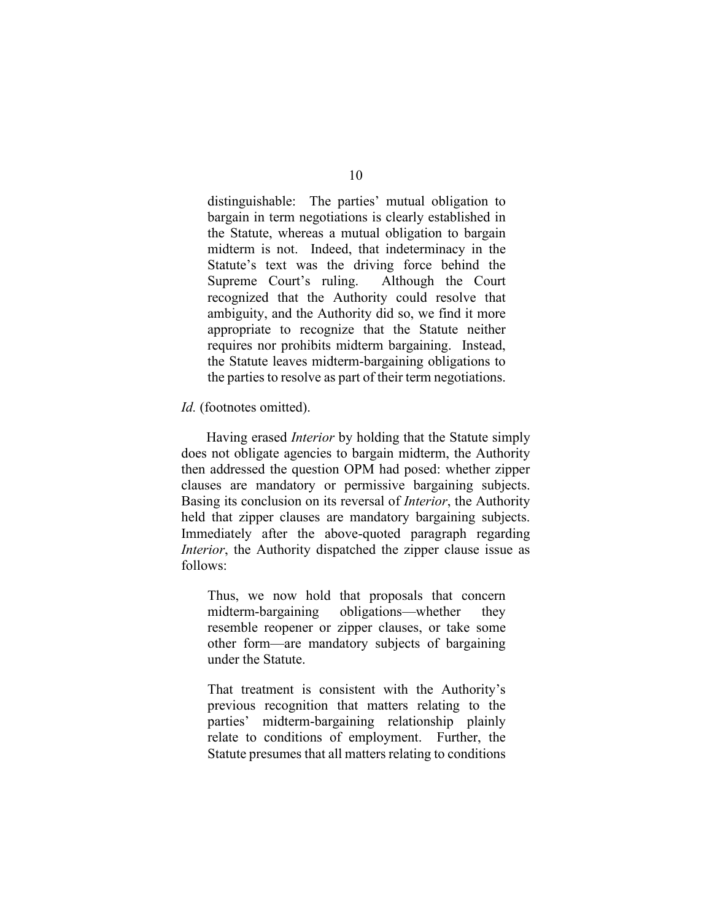distinguishable: The parties' mutual obligation to bargain in term negotiations is clearly established in the Statute, whereas a mutual obligation to bargain midterm is not. Indeed, that indeterminacy in the Statute's text was the driving force behind the Supreme Court's ruling. Although the Court recognized that the Authority could resolve that ambiguity, and the Authority did so, we find it more appropriate to recognize that the Statute neither requires nor prohibits midterm bargaining. Instead, the Statute leaves midterm-bargaining obligations to the parties to resolve as part of their term negotiations.

#### *Id.* (footnotes omitted).

Having erased *Interior* by holding that the Statute simply does not obligate agencies to bargain midterm, the Authority then addressed the question OPM had posed: whether zipper clauses are mandatory or permissive bargaining subjects. Basing its conclusion on its reversal of *Interior*, the Authority held that zipper clauses are mandatory bargaining subjects. Immediately after the above-quoted paragraph regarding *Interior*, the Authority dispatched the zipper clause issue as follows:

Thus, we now hold that proposals that concern midterm-bargaining obligations—whether they resemble reopener or zipper clauses, or take some other form—are mandatory subjects of bargaining under the Statute.

That treatment is consistent with the Authority's previous recognition that matters relating to the parties' midterm-bargaining relationship plainly relate to conditions of employment. Further, the Statute presumes that all matters relating to conditions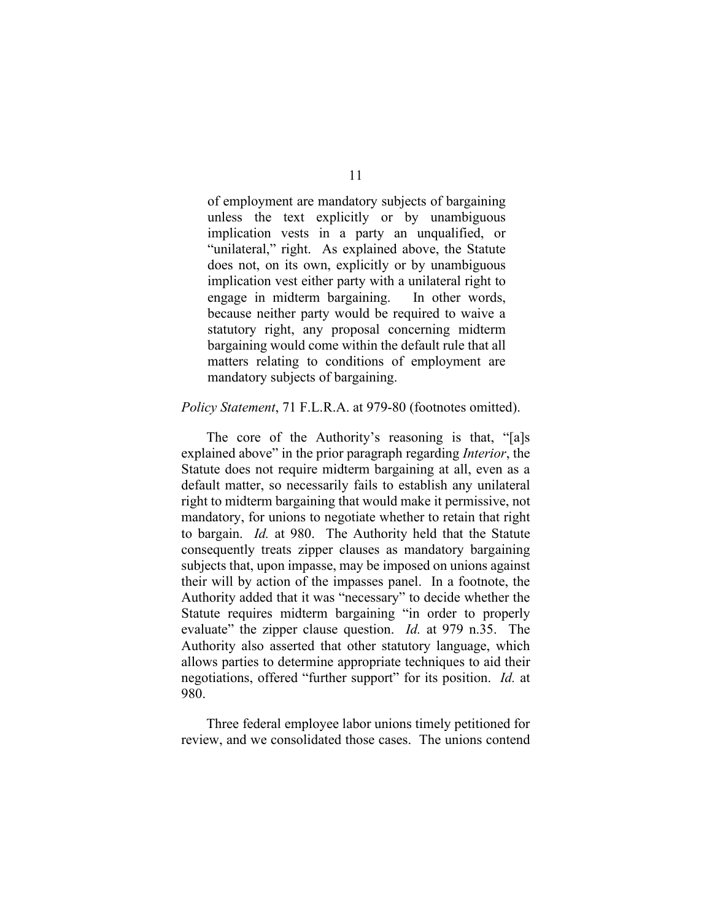of employment are mandatory subjects of bargaining unless the text explicitly or by unambiguous implication vests in a party an unqualified, or "unilateral," right. As explained above, the Statute does not, on its own, explicitly or by unambiguous implication vest either party with a unilateral right to engage in midterm bargaining. In other words, because neither party would be required to waive a statutory right, any proposal concerning midterm bargaining would come within the default rule that all matters relating to conditions of employment are mandatory subjects of bargaining.

#### *Policy Statement*, 71 F.L.R.A. at 979-80 (footnotes omitted).

The core of the Authority's reasoning is that, "[a]s explained above" in the prior paragraph regarding *Interior*, the Statute does not require midterm bargaining at all, even as a default matter, so necessarily fails to establish any unilateral right to midterm bargaining that would make it permissive, not mandatory, for unions to negotiate whether to retain that right to bargain. *Id.* at 980. The Authority held that the Statute consequently treats zipper clauses as mandatory bargaining subjects that, upon impasse, may be imposed on unions against their will by action of the impasses panel. In a footnote, the Authority added that it was "necessary" to decide whether the Statute requires midterm bargaining "in order to properly evaluate" the zipper clause question. *Id.* at 979 n.35. The Authority also asserted that other statutory language, which allows parties to determine appropriate techniques to aid their negotiations, offered "further support" for its position. *Id.* at 980.

Three federal employee labor unions timely petitioned for review, and we consolidated those cases. The unions contend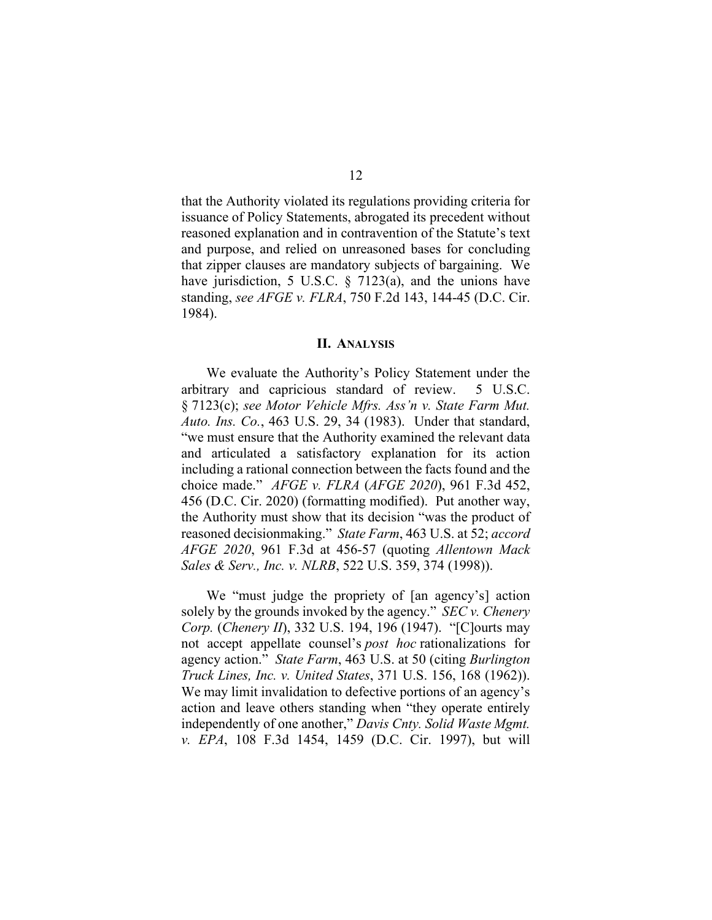that the Authority violated its regulations providing criteria for issuance of Policy Statements, abrogated its precedent without reasoned explanation and in contravention of the Statute's text and purpose, and relied on unreasoned bases for concluding that zipper clauses are mandatory subjects of bargaining. We have jurisdiction, 5 U.S.C. § 7123(a), and the unions have standing, *see AFGE v. FLRA*, 750 F.2d 143, 144-45 (D.C. Cir. 1984).

#### **II. ANALYSIS**

We evaluate the Authority's Policy Statement under the arbitrary and capricious standard of review. 5 U.S.C. § 7123(c); *see Motor Vehicle Mfrs. Ass'n v. State Farm Mut. Auto. Ins. Co.*, 463 U.S. 29, 34 (1983). Under that standard, "we must ensure that the Authority examined the relevant data and articulated a satisfactory explanation for its action including a rational connection between the facts found and the choice made." *AFGE v. FLRA* (*AFGE 2020*), 961 F.3d 452, 456 (D.C. Cir. 2020) (formatting modified). Put another way, the Authority must show that its decision "was the product of reasoned decisionmaking." *State Farm*, 463 U.S. at 52; *accord AFGE 2020*, 961 F.3d at 456-57 (quoting *Allentown Mack Sales & Serv., Inc. v. NLRB*, 522 U.S. 359, 374 (1998)).

We "must judge the propriety of [an agency's] action solely by the grounds invoked by the agency." *SEC v. Chenery Corp.* (*Chenery II*), 332 U.S. 194, 196 (1947). "[C]ourts may not accept appellate counsel's *post hoc* rationalizations for agency action." *State Farm*, 463 U.S. at 50 (citing *Burlington Truck Lines, Inc. v. United States*, 371 U.S. 156, 168 (1962)). We may limit invalidation to defective portions of an agency's action and leave others standing when "they operate entirely independently of one another," *Davis Cnty. Solid Waste Mgmt. v. EPA*, 108 F.3d 1454, 1459 (D.C. Cir. 1997), but will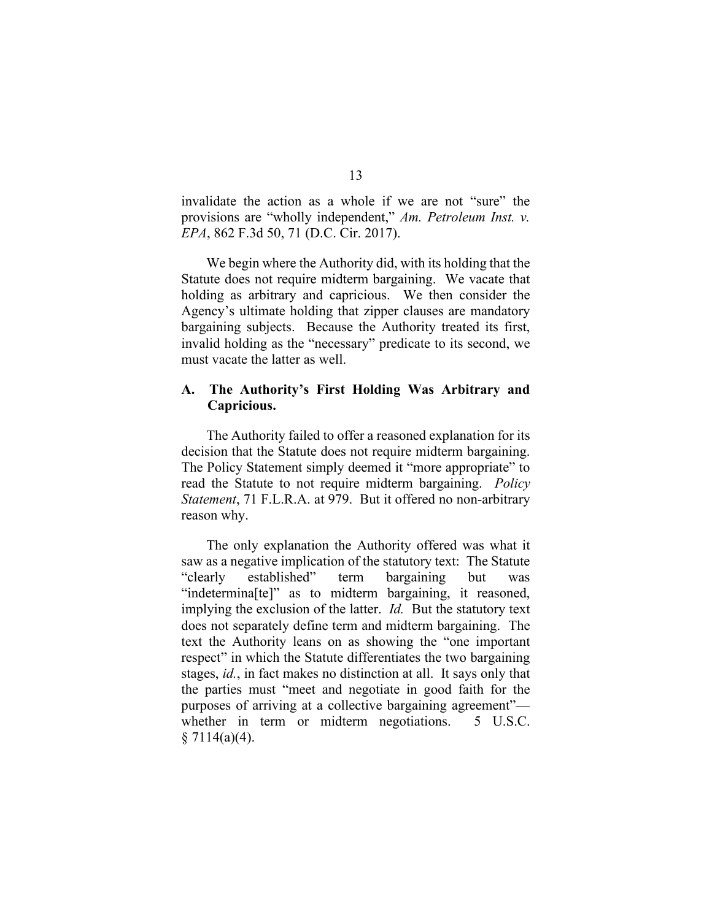invalidate the action as a whole if we are not "sure" the provisions are "wholly independent," *Am. Petroleum Inst. v. EPA*, 862 F.3d 50, 71 (D.C. Cir. 2017).

We begin where the Authority did, with its holding that the Statute does not require midterm bargaining. We vacate that holding as arbitrary and capricious. We then consider the Agency's ultimate holding that zipper clauses are mandatory bargaining subjects. Because the Authority treated its first, invalid holding as the "necessary" predicate to its second, we must vacate the latter as well.

### **A. The Authority's First Holding Was Arbitrary and Capricious.**

The Authority failed to offer a reasoned explanation for its decision that the Statute does not require midterm bargaining. The Policy Statement simply deemed it "more appropriate" to read the Statute to not require midterm bargaining. *Policy Statement*, 71 F.L.R.A. at 979. But it offered no non-arbitrary reason why.

The only explanation the Authority offered was what it saw as a negative implication of the statutory text: The Statute "clearly established" term bargaining but was "indetermina[te]" as to midterm bargaining, it reasoned, implying the exclusion of the latter.*Id.* But the statutory text does not separately define term and midterm bargaining. The text the Authority leans on as showing the "one important respect" in which the Statute differentiates the two bargaining stages, *id.*, in fact makes no distinction at all. It says only that the parties must "meet and negotiate in good faith for the purposes of arriving at a collective bargaining agreement" whether in term or midterm negotiations. 5 U.S.C.  $§ 7114(a)(4).$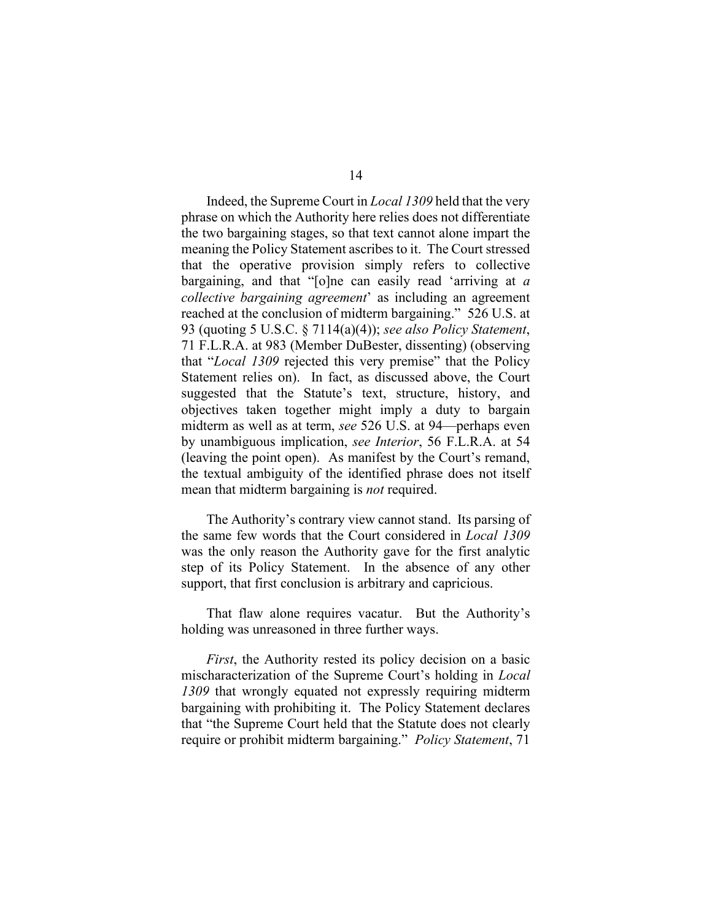Indeed, the Supreme Court in *Local 1309* held that the very phrase on which the Authority here relies does not differentiate the two bargaining stages, so that text cannot alone impart the meaning the Policy Statement ascribes to it. The Court stressed that the operative provision simply refers to collective bargaining, and that "[o]ne can easily read 'arriving at *a collective bargaining agreement*' as including an agreement reached at the conclusion of midterm bargaining." 526 U.S. at 93 (quoting 5 U.S.C. § 7114(a)(4)); *see also Policy Statement*, 71 F.L.R.A. at 983 (Member DuBester, dissenting) (observing that "*Local 1309* rejected this very premise" that the Policy Statement relies on). In fact, as discussed above, the Court suggested that the Statute's text, structure, history, and objectives taken together might imply a duty to bargain midterm as well as at term, *see* 526 U.S. at 94—perhaps even by unambiguous implication, *see Interior*, 56 F.L.R.A. at 54 (leaving the point open). As manifest by the Court's remand, the textual ambiguity of the identified phrase does not itself mean that midterm bargaining is *not* required.

The Authority's contrary view cannot stand. Its parsing of the same few words that the Court considered in *Local 1309* was the only reason the Authority gave for the first analytic step of its Policy Statement. In the absence of any other support, that first conclusion is arbitrary and capricious.

That flaw alone requires vacatur. But the Authority's holding was unreasoned in three further ways.

*First*, the Authority rested its policy decision on a basic mischaracterization of the Supreme Court's holding in *Local 1309* that wrongly equated not expressly requiring midterm bargaining with prohibiting it. The Policy Statement declares that "the Supreme Court held that the Statute does not clearly require or prohibit midterm bargaining." *Policy Statement*, 71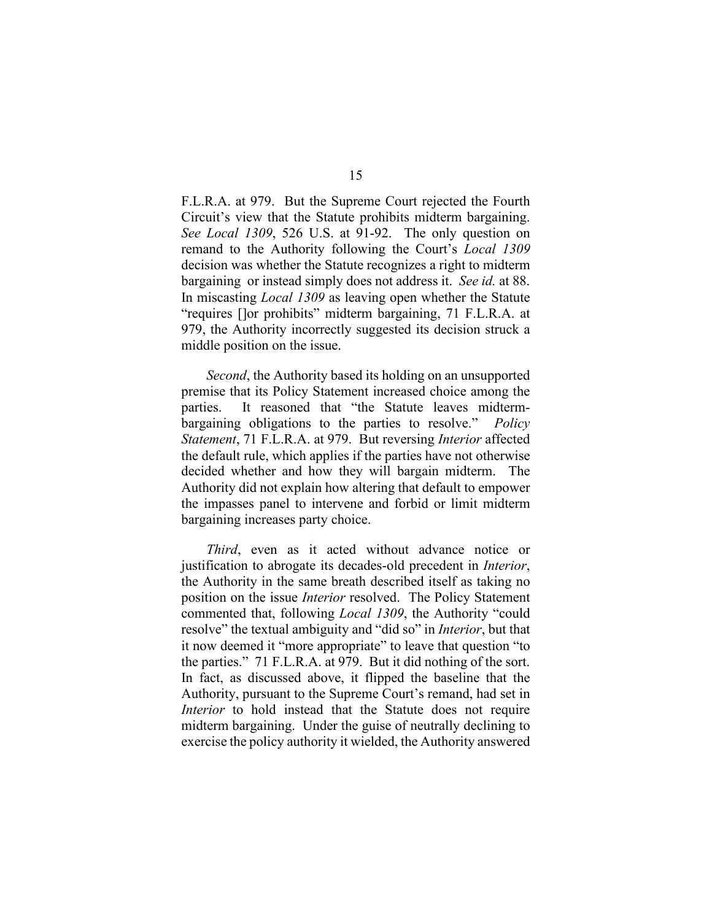F.L.R.A. at 979. But the Supreme Court rejected the Fourth Circuit's view that the Statute prohibits midterm bargaining. *See Local 1309*, 526 U.S. at 91-92. The only question on remand to the Authority following the Court's *Local 1309* decision was whether the Statute recognizes a right to midterm bargaining or instead simply does not address it. *See id.* at 88. In miscasting *Local 1309* as leaving open whether the Statute "requires []or prohibits" midterm bargaining, 71 F.L.R.A. at 979, the Authority incorrectly suggested its decision struck a middle position on the issue.

*Second*, the Authority based its holding on an unsupported premise that its Policy Statement increased choice among the parties. It reasoned that "the Statute leaves midtermbargaining obligations to the parties to resolve." *Policy Statement*, 71 F.L.R.A. at 979. But reversing *Interior* affected the default rule, which applies if the parties have not otherwise decided whether and how they will bargain midterm. The Authority did not explain how altering that default to empower the impasses panel to intervene and forbid or limit midterm bargaining increases party choice.

*Third*, even as it acted without advance notice or justification to abrogate its decades-old precedent in *Interior*, the Authority in the same breath described itself as taking no position on the issue *Interior* resolved. The Policy Statement commented that, following *Local 1309*, the Authority "could resolve" the textual ambiguity and "did so" in *Interior*, but that it now deemed it "more appropriate" to leave that question "to the parties." 71 F.L.R.A. at 979. But it did nothing of the sort. In fact, as discussed above, it flipped the baseline that the Authority, pursuant to the Supreme Court's remand, had set in *Interior* to hold instead that the Statute does not require midterm bargaining. Under the guise of neutrally declining to exercise the policy authority it wielded, the Authority answered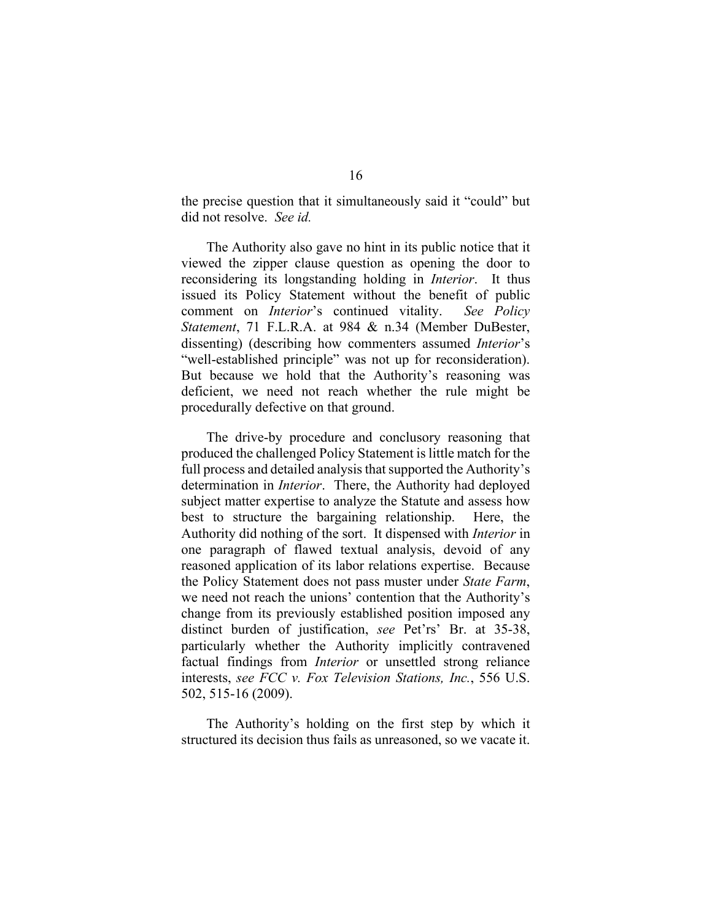the precise question that it simultaneously said it "could" but did not resolve. *See id.*

The Authority also gave no hint in its public notice that it viewed the zipper clause question as opening the door to reconsidering its longstanding holding in *Interior*. It thus issued its Policy Statement without the benefit of public comment on *Interior*'s continued vitality. *See Policy Statement*, 71 F.L.R.A. at 984 & n.34 (Member DuBester, dissenting) (describing how commenters assumed *Interior*'s "well-established principle" was not up for reconsideration). But because we hold that the Authority's reasoning was deficient, we need not reach whether the rule might be procedurally defective on that ground.

The drive-by procedure and conclusory reasoning that produced the challenged Policy Statement is little match for the full process and detailed analysis that supported the Authority's determination in *Interior*. There, the Authority had deployed subject matter expertise to analyze the Statute and assess how best to structure the bargaining relationship. Here, the Authority did nothing of the sort. It dispensed with *Interior* in one paragraph of flawed textual analysis, devoid of any reasoned application of its labor relations expertise. Because the Policy Statement does not pass muster under *State Farm*, we need not reach the unions' contention that the Authority's change from its previously established position imposed any distinct burden of justification, *see* Pet'rs' Br. at 35-38, particularly whether the Authority implicitly contravened factual findings from *Interior* or unsettled strong reliance interests, *see FCC v. Fox Television Stations, Inc.*, 556 U.S. 502, 515-16 (2009).

The Authority's holding on the first step by which it structured its decision thus fails as unreasoned, so we vacate it.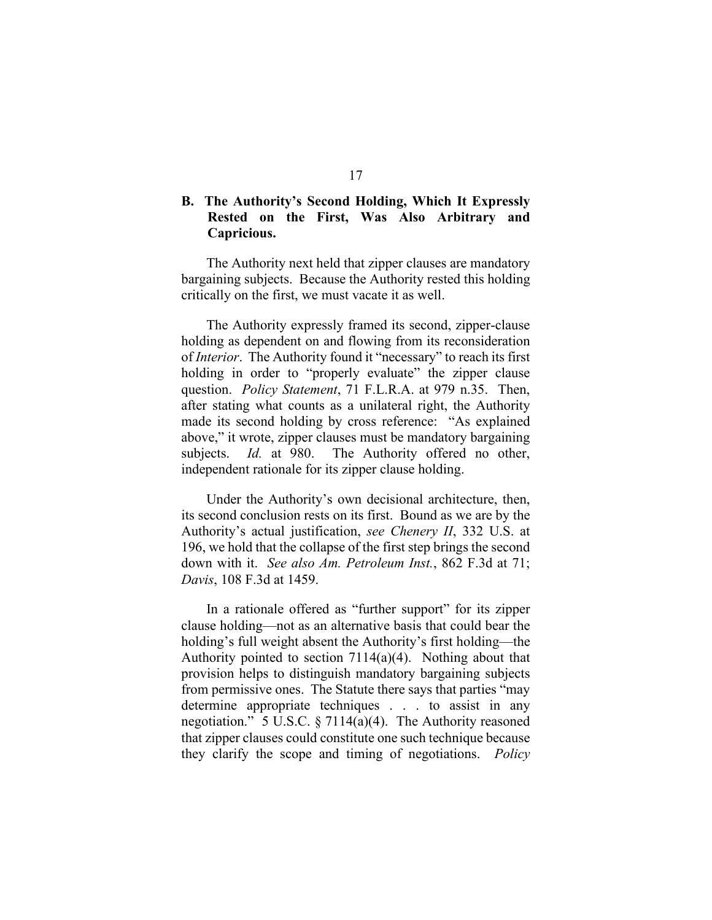## **B. The Authority's Second Holding, Which It Expressly Rested on the First, Was Also Arbitrary and Capricious.**

The Authority next held that zipper clauses are mandatory bargaining subjects. Because the Authority rested this holding critically on the first, we must vacate it as well.

The Authority expressly framed its second, zipper-clause holding as dependent on and flowing from its reconsideration of *Interior*. The Authority found it "necessary" to reach its first holding in order to "properly evaluate" the zipper clause question. *Policy Statement*, 71 F.L.R.A. at 979 n.35. Then, after stating what counts as a unilateral right, the Authority made its second holding by cross reference: "As explained above," it wrote, zipper clauses must be mandatory bargaining subjects. *Id.* at 980. The Authority offered no other, independent rationale for its zipper clause holding.

Under the Authority's own decisional architecture, then, its second conclusion rests on its first. Bound as we are by the Authority's actual justification, *see Chenery II*, 332 U.S. at 196, we hold that the collapse of the first step brings the second down with it. *See also Am. Petroleum Inst.*, 862 F.3d at 71; *Davis*, 108 F.3d at 1459.

In a rationale offered as "further support" for its zipper clause holding—not as an alternative basis that could bear the holding's full weight absent the Authority's first holding—the Authority pointed to section 7114(a)(4). Nothing about that provision helps to distinguish mandatory bargaining subjects from permissive ones. The Statute there says that parties "may determine appropriate techniques . . . to assist in any negotiation." 5 U.S.C. § 7114(a)(4). The Authority reasoned that zipper clauses could constitute one such technique because they clarify the scope and timing of negotiations. *Policy*